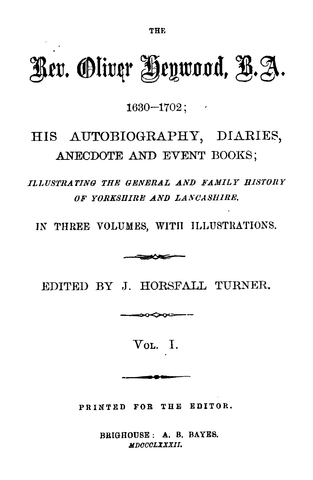# **Rev. Oliver Heywood, B.A .**

 $1630 - 1702$  ;

## HIS AUTOBIOGRAPHY, DIARIES, ANECDOTE AND EVENT BOOKS:

*ILLUSTRATING THE GENERAL AND FAMILY HISTOR Y OF YORKSHIRE AND LANCASHIRE.*

IN THREE VOLUMES, WITH ILLUSTRATIONS.



EDITED BY J. HORSFALL TURNER.

VOL. I.

**PRINTED FOR THE EDITOR .**

**BRIGHOUSE : A. B. BAYES.** *MDCCCLXXXII.*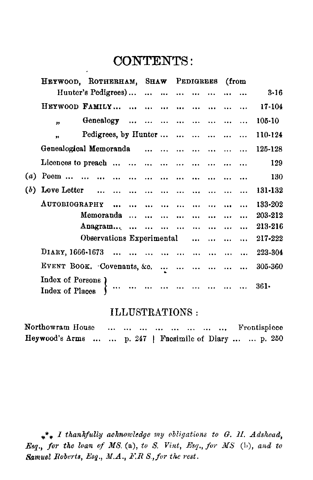### CONTENTS :

|  |                                      | HEYWOOD, ROTHERHAM, SHAW PEDIGREES |                                              |                   |  |  |                   |                                            |                 | (from |          |  |
|--|--------------------------------------|------------------------------------|----------------------------------------------|-------------------|--|--|-------------------|--------------------------------------------|-----------------|-------|----------|--|
|  |                                      | Hunter's Pedigrees)                |                                              |                   |  |  |                   |                                            |                 |       | $3 - 16$ |  |
|  | HEYWOOD FAMILY                       |                                    |                                              |                   |  |  |                   |                                            |                 |       | 17-104   |  |
|  | $^{\bullet}$                         | Genealogy                          |                                              |                   |  |  |                   |                                            |                 |       | 105-10   |  |
|  | ,,                                   | Pedigrees, by Hunter               |                                              |                   |  |  |                   |                                            |                 |       | 110-124  |  |
|  | Genealogical Memoranda               |                                    |                                              |                   |  |  |                   |                                            |                 |       | 125-128  |  |
|  | Licences to preach                   |                                    |                                              |                   |  |  |                   |                                            |                 |       | 129      |  |
|  |                                      |                                    |                                              |                   |  |  |                   |                                            |                 |       | 130      |  |
|  |                                      |                                    |                                              |                   |  |  |                   |                                            |                 |       | 131-132  |  |
|  | AUTOBIOGRAPHY                        |                                    |                                              | $\cdots$ $\cdots$ |  |  | $\cdots$ $\cdots$ | $\cdots$                                   | $\ddotsc$       |       | 133-202  |  |
|  |                                      | Memoranda                          |                                              |                   |  |  |                   | $\mathbf{u} = \mathbf{u} \cdot \mathbf{u}$ | $\ddotsc$       |       | 203-212  |  |
|  |                                      | Anagram                            |                                              |                   |  |  |                   |                                            |                 |       | 213-216  |  |
|  |                                      | Observations Experimental          |                                              |                   |  |  |                   |                                            | $\sim 10^{-11}$ |       | 217-222  |  |
|  | DIARY, 1666-1673                     |                                    | and the state of the state and the state and |                   |  |  |                   |                                            |                 |       | 223-304  |  |
|  | EVENT BOOK. Covenants, &c.           |                                    |                                              |                   |  |  |                   |                                            |                 |       | 305-360  |  |
|  | Index of Persons)<br>Index of Places |                                    | $\cdots$                                     |                   |  |  |                   |                                            |                 |       | $361-$   |  |

#### ILLUSTRATIONS :

| Northowram House                                      |  |  | The company of the company of the company of the company of the company of the company of the company of the company of the company of the company of the company of the company of the company of the company of the company |  | Frontispiece |  |
|-------------------------------------------------------|--|--|-------------------------------------------------------------------------------------------------------------------------------------------------------------------------------------------------------------------------------|--|--------------|--|
| Heywood's Arms   p. 247   Facsimile of Diary   p. 250 |  |  |                                                                                                                                                                                                                               |  |              |  |

*I thankfully acknowledge my obligations to G . II. Adshead, Esq., for the loan of MS. (a), to S. Vint, Esq., for MS (L), and to Samuel Roberts, Esq ., M.A ., FR S., for the rest.*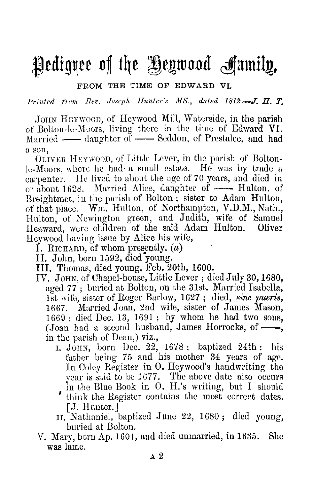## Pedigree of the Heywood frumity ,

**FROM THE TIME OF EDWARD VI.**

**Printed front Rev. Joseph, Hunter's MS., dated 1812.—J . H. T.**

JOHN HEYWOOD, of Heywood Mill, Waterside, in the parish of Bolton-le-Moors, living there in the time of Edward VI. Married — daughter of — Seddon, of Prestalce, and had a son.

OLIVER HEYwood, of Little Lever, in the parish of Bolton- le-Moors, where he had a small estate. He was by trade a carpenter. He lived to about the age of 70 years, and died in or about 1628. Married Alice, daughter of —— Hulton, of Breightmet, in the parish of Bolton ; sister to Adam Hulton, of that place. Wm. Hulton, of Northampton, V.D.M., Nath., Hulton, of Newington green, and Judith, wife of Samuel Heaward, were children of the said Adam Hulton. Oliver Heywood having issue by Alice his wife,

I. RICHARD, of whom presently,  $(a)$ 

IT. John, born 1592, died young.

- III. Thomas, died young, Feb . 20th, 1600.
- IV. JOHN, of Chapel-house, Little Lever ; died July 30, 1680, aged 77 ; buried at Bolton, on the 31st. Married Isabella, 1st wife, sister of Roger Barlow, 1627 ; died, *sine pueris, 1667 . Married Joan, 2nd wife, sister of James Mason, 1669 ; died Dec . 13, 1691 ; by whom he had two sons, (Joan had a second husband, James Horrocks, of, in the parish of Dean,) viz.,*
	- I. JOHN, born Dec. 22, 1678 ; baptized 24th : his father being 75 and his mother 34 years of age. In Coley Register in O. Heywood's handwriting the year is said to be 1677. The above date also occurs in the Blue Book in O. H.'s writing, but I should
	- think the Register contains the most correct dates. [J. Hunter.]
	- II. Nathaniel, baptized June 22, 1680; died young, buried at Bolton.
- V. Mary, born Ap. 1601, and died unmarried, in <sup>1635</sup> . She was lame.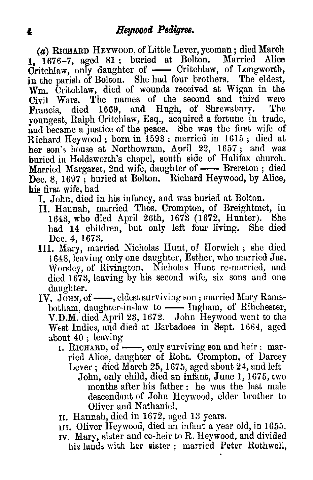*(a) RICHARD HEYwooD,* of Little Lever, yeoman ; died March 1,  $1676-7$ , aged  $81$ ; buried at Bolton. Critchlaw, only daughter of — Critchlaw, of Longworth, in the parish of Bolton. She had four brothers. The eldest,  $W<sub>m</sub>$ . Critchlaw, died of wounds received at Wigan in the  $C<sub>iv</sub>$ il Wars. The names of the second and third were Civil Wars. The names of the second and third were<br>Empois died 1669 and Hugh of Shrewshury. The Francis, died 1669, and Hugh, of Shrewsbury. youngest, Ralph Critchlaw, Esq., acquired a fortune in trade, and became a justice of the peace. She was the first wife of Richard Heywood ; born in 1593 ; married in 1615 ; died at her son's house at Northowram, April 22, 1657 ; and was buried in Holdsworth's chapel, south side of Halifax church. Married Margaret, 2nd wife, daughter of - Brereton ; died Dec. 8, 1697; buried at Bolton. Elichard Heywood, by Alice. his first wife, had

I. John, died in his infancy, and was buried at Bolton.

- II. Hannah, married Thos. Crompton, of Breightmet, in 1643, who died April 26th, 1673 (1672, Hunter). She<br>had 14 children, but only left four living. She died had 14 children, but only left four living. Dec. 4, 1673.
- Ill. Mary, married Nicholas Hunt, of Horwich ; she died 1648 . leaving only one daughter, Esther, who married Jas. Worsley, of Rivington. Nicholas Hunt re-married, and died 1673, leaving by his second wife, six sons and one daughter.
- IV. JOHN, of —, eldest surviving son; married Mary Ramsbotham, daughter-in-law to —— Ingham, of Ribchester, V.D.M. died April 23, 1672. John Heywood went to the West Indies, and died at Barbadoes in Sept. 1664, aged about 40 ; leaving
	- 1. RICHARD, of  $\longrightarrow$ , only surviving son and heir; married Alice, daughter of Robt. Crompton, of Darcey Lever ; died March 25, 1675, aged about 24, and left
		- John, only child, died an infant, June 1, 1675, two months after his father : he was the last male descendant of John Heywood, elder brother to Oliver and Nathaniel.
	- II. Hannah, died in 1672, aged 13 years .
	- III. Oliver Heywood, died an infant a year old, in 1655.
	- Iv. Mary, sister and co-heir to R. Heywood, and divided his lands with her sister ; married Peter Rothwell,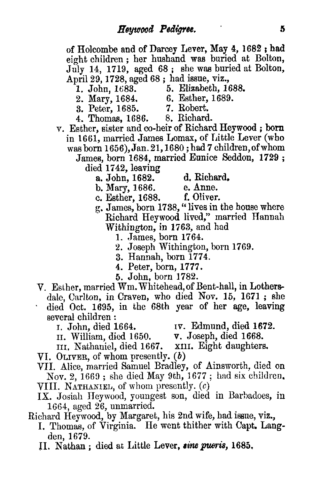of Holcombe and of Darcey Lever, May **4,** 1682 ; **had** eight children ; her husband was buried at Bolton, July 14, 1719, aged 68 ; she was buried at Bolton, April 29, 1728, aged 68; had issue, viz.,<br>1. John. 1683. 5. Elizabeth, 16

- 
- 2. Mary, 1684. 6. Esther, 1689.<br>3. Peter, 1685. 7. Robert.
- 5. Elizabeth, 1688.
	-
- 
- 3. Peter, 1685. 7. Robert.<br>4. Thomas. 1686. 8. Richard. 4. Thomas, 1686.
- v. Esther, sister and co-heir of Richard **Heywood ;** born in 1661, married James Lomax, of Little Lever (who was born 1656), Jan . 21,1680 ; had 7 children, of whom
	- James, born 1684, married Eunice Seddon, **1729 ;** died 1742, leaving
		- -
- 
- a. John, 1682. d. Richard.<br>b. Mary. 1686. e. Anne. b. Mary, 1686. e. Anne.<br>c. Esther. 1688. f. Oliver.
- c. Esther, 1688.
- g. James, born 1788, " lives in the house where Richard **Heywood** lived," married Hannah Withington, in 1763, and had
	- 1. James, born 1764.
	- 2. Joseph Withington, born 1769.
	- 3. Hannah, born 1774.
	- 4. Peter, born, 1777.
	- 5. John, born 1782.
- V. Esther, married Wm. Whitehead, of Bent-hall, in Lothersdale, Carlton, in Craven, who died Nov. 15, 1671 ; she
- died Oct. 1695, in the 68th year of her age, leaving several children:<br>r. John. died 1664.
	-

<sup>1</sup> . John, died 1664 . Iv. **Edmund, died 1672.**

- 
- II. William, died 1650. **v .** Joseph, died 1668. III. Nathaniel, died 1667. xiu. Eight daughters.
- VI. OLIvER, of whom presently. (b)
- VII. Alice, married Samuel Bradley, of Ainsworth, died on Nov. 2, 1669 ; she died May 9th, 1677 ; had six children. VIII. NATHANIEL, of whom presently.  $(c)$
- IX. Josiah Heywood, youngest son, died in Barbadoes, in 1664, aged 26, unmarried.

Richard Heywood, by Margaret, his 2nd wife, had issue, viz.,

- I. Thomas, of Virginia. He went thither with Capt. Langden, 1679.
- IL Nathan ; died at Little Lever, *sine* **puerie, 1685,**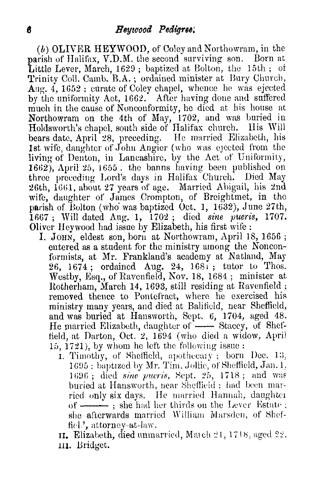**(b) OLIVER HEYWOOD, of Coley and Northowram, in the parish of Halifax, V.D .M . the second surviving son . Born at Little Lever, March, 1629 ; baptized at Bolton, the 15th ; of Trinity Coll. Camb. B.A. ; ordained minister at Bury Church, Aug. 4, 1652 : curate of Coley chapel, whence he was ejected by the uniformity Act, 1662. After having done and suffered much in the cause of Nonconformity, he died at his house at Northowram on the 4th of May, 1702, and was buried in Holdsworth's chapel, south side of Halifax church . His Will bears date, April 28, preceding. He married Elizabeth, his 1st wife, daughter of John Angier (who was ejected from the living of Denton, in Lancashire, by the Act of Uniformity, 1662), April 25, 1655 . the banns having been published on three preceding Lord's days in Halifax Church . Died May 26th, 1661, about 27 years of age . Married Abigail, his 2nd** wife, daughter of James Crompton, of Breightmet, in the parish of Bolton (who' was baptized Oct . 1, 1632), June 27th, 1667 ; Will dated Aug . 1, 1702 ; died *sine pueris, 1707 . Oliver Heywood had issue by Elizabeth, his first* wife :

- I. JOHN, eldest son, born at Northowram, April 18, 1656; entered as a student for the ministry among the Nonco formists, at Mr. Frankland's academy at Natland. May 26, 1674 ; ordained Aug. 24, 168i ; tutor to Thos. Westby, Esq., of Ravenfield, Nov. 18, 1684; minister at Rotherham, March 14, 1693, still residing at Ravenfield removed thence to Pontefract, where he exercised his ministry many years, and died at Balifieid, near Sheffield, and was buried at Hansworth, Sept. 6, 1704, aged 48. He married Elizabeth, daughter of — Stacey, of Sheffield, at Darton, Oct. 2, 1694 (who died a widow, April 15, 1721), by whom he left the following issue:
	- 1. Timothy, of Sheffield, apothecary; born Dec. 13, 1695 : baptized by Mr. Tim. Jollie, of Sheffield, Jan. 1, 1696 ; died sine pueris, Sept. 25, 1718 ; and was buried at Hansworth, near Sheffield : had been married only six days. He married Hannah, daughter of  $\frac{1}{\sqrt{2}}$  ; she had her thirds on the Lever Estate; she afterwards married William Marsden, of Sheffiel', attorney-at-law.

it. Elizabeth, died unmarried, March 21, 1718, aged 22 . 11I. Bridget.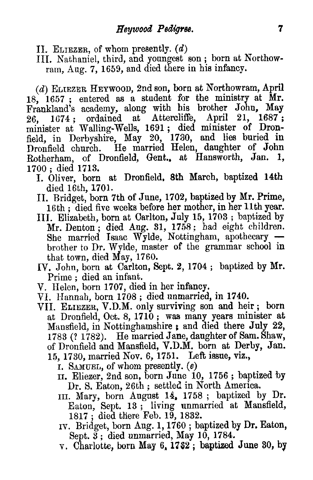II. ELIEZER, of whom presently.  $(d)$ 

III. Nathaniel, third, and youngest son ; born at Northowram, Aug. 7, 1659, and died there in his infancy.

*(d)* ELIEzER HEYWOOD, 2nd son, born at Northowram, April 18, 1657 ; entered as a student for the ministry at Mr. Frankland's academy, along with his brother John, May 26. 1687;<br>26. 1674; ordained at Attercliffe, April 21, 1687; 26, 1674 ; ordained at Attercliffe, April 21, 1687; minister at Walling-Wells, 1691 ; died minister of Dronfield, in Derbyshire, May 20, 1730, and lies buried in Dronfield church . He married Helen, daughter of John Rotherham, of Dronfield, Gent., at Hansworth, Jan. 1700 ; died 1713.

- I. Oliver, born at Dronfield, 8th March, baptized 14th died 16th, 1701.
- II. Bridget, born 7th of June, 1702, baptized by Mr. Prime, 16th ; died five weeks before her mother, in her 11th year.
- III. Elizabeth, born at Carlton, July 15, 1703 ; baptized by Mr. Denton; died Aug. 31, 1758; had eight children. She married Isaac Wylde, Nottingham, apothecary brother to Dr. Wylde, master of the grammar school in that town, died May, 1760.
- IV. John, born at Carlton, Sept. 2, 1704 ; baptized by Mr. Prime ; died an infant.
- V. Helen, born 1707, died in her infancy.
- VI. Hannah, born 1708 ; died unmarried, **in 1740.**
- VII. ELIEZER, V.D.M. only surviving son and heir ; born at Dronfield, Oct. 8, 1710 ; was many years minister at Mansfield, in Nottinghamshire ; and died there July 22, 1783 (? 1782). He married Jane, daughter of Sam. Shaw, of Dronfield and Mansfield, V.D.M. born at Derby, Jan. 15, 1730, married Nov. 6, 1751. Left issue, viz.,
	- I. SAMUEL, of whom presently,  $(e)$
	- II. Eliezer, 2nd son, born June 10, 1756 ; baptized by Dr. S. Eaton, 26th ; settled in North America.
	- III. Mary, born August 14, 1758 ; baptized by Dr. Eaton, Sept. 13 ; living unmarried at Mansfield, 1817 ; died there Feb. 19, 1832.
	- iv. Bridget, born Aug . 1, 1760 ; baptized by **Dr .** Eaton, Sept.  $\widetilde{3}$ : died unmarried, May 10, 1784.
	- v. Charlotte, born May 6, **1762 ; baptized June 30,** by